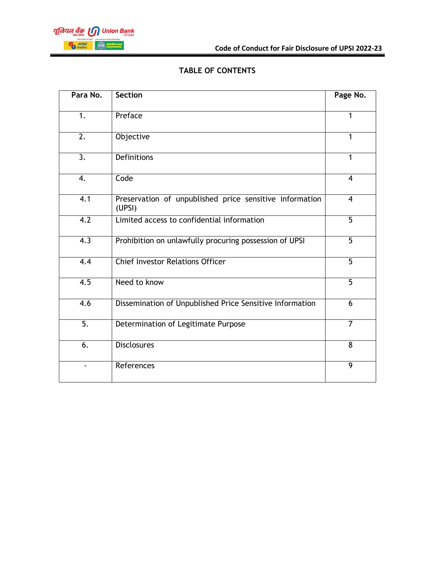## **TABLE OF CONTENTS**

| Para No.         | <b>Section</b>                                                    | Page No.       |
|------------------|-------------------------------------------------------------------|----------------|
|                  |                                                                   |                |
| $\overline{1}$ . | Preface                                                           | 1              |
| 2.               | Objective                                                         | 1              |
| $\overline{3}$ . | <b>Definitions</b>                                                | 1              |
| 4.               | Code                                                              | $\overline{4}$ |
| $\overline{4.1}$ | Preservation of unpublished price sensitive information<br>(UPSI) | $\overline{4}$ |
| $\overline{4.2}$ | Limited access to confidential information                        | 5              |
| 4.3              | Prohibition on unlawfully procuring possession of UPSI            | $\overline{5}$ |
| $\overline{4.4}$ | <b>Chief Investor Relations Officer</b>                           | $\overline{5}$ |
| 4.5              | Need to know                                                      | $\overline{5}$ |
| $\overline{4.6}$ | Dissemination of Unpublished Price Sensitive Information          | 6              |
| $\overline{5}$ . | Determination of Legitimate Purpose                               | $\overline{7}$ |
| 6.               | <b>Disclosures</b>                                                | 8              |
|                  | References                                                        | $\overline{9}$ |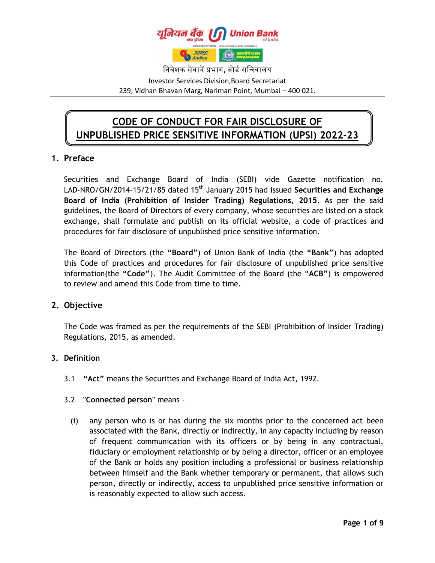

निवेशक सेवायें प्रभाग**,** बोर्ड सनिवालय

Investor Services Division,Board Secretariat 239, Vidhan Bhavan Marg, Nariman Point, Mumbai – 400 021.

# **CODE OF CONDUCT FOR FAIR DISCLOSURE OF UNPUBLISHED PRICE SENSITIVE INFORMATION (UPSI) 2022-23**

## **1. Preface**

Securities and Exchange Board of India (SEBI) vide Gazette notification no. LAD-NRO/GN/2014-15/21/85 dated 15th January 2015 had issued **Securities and Exchange Board of India (Prohibition of Insider Trading) Regulations, 2015**. As per the said guidelines, the Board of Directors of every company, whose securities are listed on a stock exchange, shall formulate and publish on its official website, a code of practices and procedures for fair disclosure of unpublished price sensitive information.

The Board of Directors (the **"Board"**) of Union Bank of India (the **"Bank"**) has adopted this Code of practices and procedures for fair disclosure of unpublished price sensitive information(the **"Code"**). The Audit Committee of the Board (the "**ACB"**) is empowered to review and amend this Code from time to time.

#### **2. Objective**

The Code was framed as per the requirements of the SEBI (Prohibition of Insider Trading) Regulations, 2015, as amended.

#### **3. Definition**

3.1 **"Act"** means the Securities and Exchange Board of India Act, 1992.

#### 3.2 **"Connected person"** means -

(i) any person who is or has during the six months prior to the concerned act been associated with the Bank, directly or indirectly, in any capacity including by reason of frequent communication with its officers or by being in any contractual, fiduciary or employment relationship or by being a director, officer or an employee of the Bank or holds any position including a professional or business relationship between himself and the Bank whether temporary or permanent, that allows such person, directly or indirectly, access to unpublished price sensitive information or is reasonably expected to allow such access.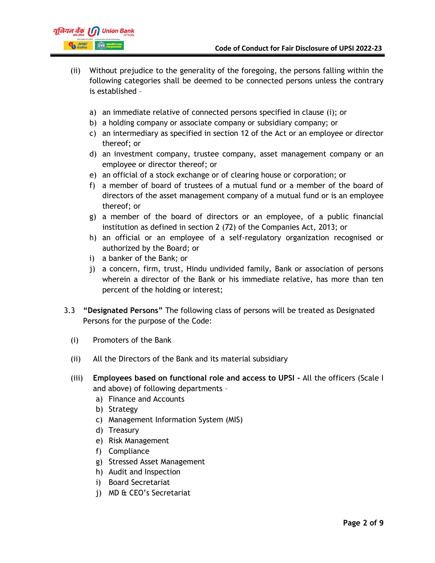

- (ii) Without prejudice to the generality of the foregoing, the persons falling within the following categories shall be deemed to be connected persons unless the contrary is established –
	- a) an immediate relative of connected persons specified in clause (i); or
	- b) a holding company or associate company or subsidiary company; or
	- c) an intermediary as specified in section 12 of the Act or an employee or director thereof; or
	- d) an investment company, trustee company, asset management company or an employee or director thereof; or
	- e) an official of a stock exchange or of clearing house or corporation; or
	- f) a member of board of trustees of a mutual fund or a member of the board of directors of the asset management company of a mutual fund or is an employee thereof; or
	- g) a member of the board of directors or an employee, of a public financial institution as defined in section 2 (72) of the Companies Act, 2013; or
	- h) an official or an employee of a self-regulatory organization recognised or authorized by the Board; or
	- i) a banker of the Bank; or
	- j) a concern, firm, trust, Hindu undivided family, Bank or association of persons wherein a director of the Bank or his immediate relative, has more than ten percent of the holding or interest;
- 3.3 **"Designated Persons"** The following class of persons will be treated as Designated Persons for the purpose of the Code:
	- (i) Promoters of the Bank
	- (ii) All the Directors of the Bank and its material subsidiary
	- (iii) **Employees based on functional role and access to UPSI -** All the officers (Scale I and above) of following departments –
		- a) Finance and Accounts
		- b) Strategy
		- c) Management Information System (MIS)
		- d) Treasury
		- e) Risk Management
		- f) Compliance
		- g) Stressed Asset Management
		- h) Audit and Inspection
		- i) Board Secretariat
		- j) MD & CEO's Secretariat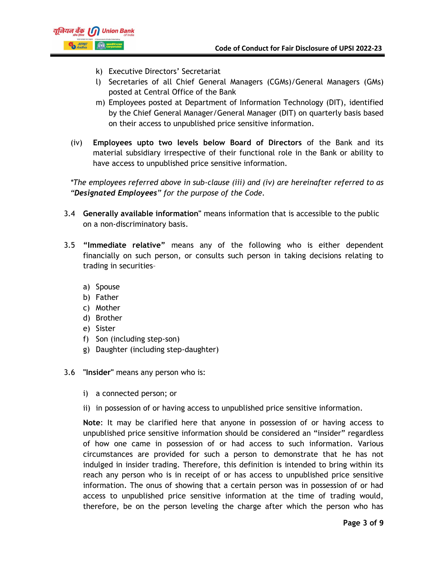

- k) Executive Directors' Secretariat
- l) Secretaries of all Chief General Managers (CGMs)/General Managers (GMs) posted at Central Office of the Bank
- m) Employees posted at Department of Information Technology (DIT), identified by the Chief General Manager/General Manager (DIT) on quarterly basis based on their access to unpublished price sensitive information.
- (iv) **Employees upto two levels below Board of Directors** of the Bank and its material subsidiary irrespective of their functional role in the Bank or ability to have access to unpublished price sensitive information.

*\*The employees referred above in sub-clause (iii) and (iv) are hereinafter referred to as "Designated Employees" for the purpose of the Code.*

- 3.4 **Generally available information"** means information that is accessible to the public on a non-discriminatory basis.
- 3.5 **"Immediate relative"** means any of the following who is either dependent financially on such person, or consults such person in taking decisions relating to trading in securities–
	- a) Spouse
	- b) Father
	- c) Mother
	- d) Brother
	- e) Sister
	- f) Son (including step-son)
	- g) Daughter (including step-daughter)
- 3.6 **"Insider"** means any person who is:
	- i) a connected person; or
	- ii) in possession of or having access to unpublished price sensitive information.

**Note**: It may be clarified here that anyone in possession of or having access to unpublished price sensitive information should be considered an "insider" regardless of how one came in possession of or had access to such information. Various circumstances are provided for such a person to demonstrate that he has not indulged in insider trading. Therefore, this definition is intended to bring within its reach any person who is in receipt of or has access to unpublished price sensitive information. The onus of showing that a certain person was in possession of or had access to unpublished price sensitive information at the time of trading would, therefore, be on the person leveling the charge after which the person who has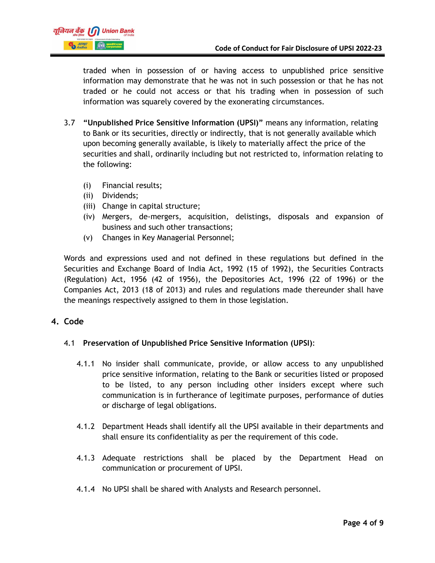

traded when in possession of or having access to unpublished price sensitive information may demonstrate that he was not in such possession or that he has not traded or he could not access or that his trading when in possession of such information was squarely covered by the exonerating circumstances.

- 3.7 **"Unpublished Price Sensitive Information (UPSI)"** means any information, relating to Bank or its securities, directly or indirectly, that is not generally available which upon becoming generally available, is likely to materially affect the price of the securities and shall, ordinarily including but not restricted to, information relating to the following:
	- (i) Financial results;
	- (ii) Dividends;
	- (iii) Change in capital structure;
	- (iv) Mergers, de-mergers, acquisition, delistings, disposals and expansion of business and such other transactions;
	- (v) Changes in Key Managerial Personnel;

Words and expressions used and not defined in these regulations but defined in the Securities and Exchange Board of India Act, 1992 (15 of 1992), the Securities Contracts (Regulation) Act, 1956 (42 of 1956), the Depositories Act, 1996 (22 of 1996) or the Companies Act, 2013 (18 of 2013) and rules and regulations made thereunder shall have the meanings respectively assigned to them in those legislation.

## **4. Code**

#### 4.1 **Preservation of Unpublished Price Sensitive Information (UPSI)**:

- 4.1.1 No insider shall communicate, provide, or allow access to any unpublished price sensitive information, relating to the Bank or securities listed or proposed to be listed, to any person including other insiders except where such communication is in furtherance of legitimate purposes, performance of duties or discharge of legal obligations.
- 4.1.2 Department Heads shall identify all the UPSI available in their departments and shall ensure its confidentiality as per the requirement of this code.
- 4.1.3 Adequate restrictions shall be placed by the Department Head on communication or procurement of UPSI.
- 4.1.4 No UPSI shall be shared with Analysts and Research personnel.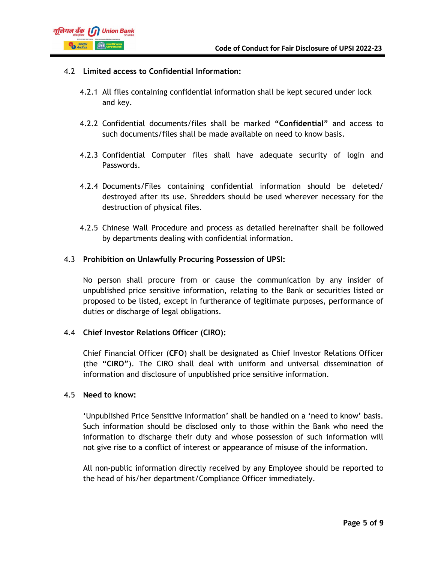

#### 4.2 **Limited access to Confidential Information:**

- 4.2.1 All files containing confidential information shall be kept secured under lock and key.
- 4.2.2 Confidential documents/files shall be marked **"Confidential"** and access to such documents/files shall be made available on need to know basis.
- 4.2.3 Confidential Computer files shall have adequate security of login and Passwords.
- 4.2.4 Documents/Files containing confidential information should be deleted/ destroyed after its use. Shredders should be used wherever necessary for the destruction of physical files.
- 4.2.5 Chinese Wall Procedure and process as detailed hereinafter shall be followed by departments dealing with confidential information.

#### 4.3 **Prohibition on Unlawfully Procuring Possession of UPSI:**

No person shall procure from or cause the communication by any insider of unpublished price sensitive information, relating to the Bank or securities listed or proposed to be listed, except in furtherance of legitimate purposes, performance of duties or discharge of legal obligations.

#### 4.4 **Chief Investor Relations Officer (CIRO):**

Chief Financial Officer (**CFO**) shall be designated as Chief Investor Relations Officer (the **"CIRO"**). The CIRO shall deal with uniform and universal dissemination of information and disclosure of unpublished price sensitive information.

#### 4.5 **Need to know:**

'Unpublished Price Sensitive Information' shall be handled on a 'need to know' basis. Such information should be disclosed only to those within the Bank who need the information to discharge their duty and whose possession of such information will not give rise to a conflict of interest or appearance of misuse of the information.

All non-public information directly received by any Employee should be reported to the head of his/her department/Compliance Officer immediately.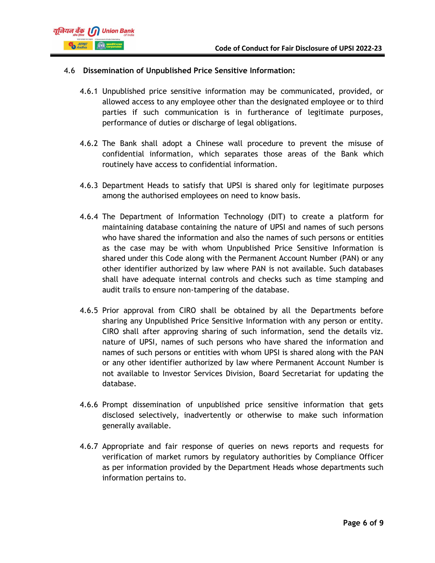

#### 4.6 **Dissemination of Unpublished Price Sensitive Information:**

- 4.6.1 Unpublished price sensitive information may be communicated, provided, or allowed access to any employee other than the designated employee or to third parties if such communication is in furtherance of legitimate purposes, performance of duties or discharge of legal obligations.
- 4.6.2 The Bank shall adopt a Chinese wall procedure to prevent the misuse of confidential information, which separates those areas of the Bank which routinely have access to confidential information.
- 4.6.3 Department Heads to satisfy that UPSI is shared only for legitimate purposes among the authorised employees on need to know basis.
- 4.6.4 The Department of Information Technology (DIT) to create a platform for maintaining database containing the nature of UPSI and names of such persons who have shared the information and also the names of such persons or entities as the case may be with whom Unpublished Price Sensitive Information is shared under this Code along with the Permanent Account Number (PAN) or any other identifier authorized by law where PAN is not available. Such databases shall have adequate internal controls and checks such as time stamping and audit trails to ensure non-tampering of the database.
- 4.6.5 Prior approval from CIRO shall be obtained by all the Departments before sharing any Unpublished Price Sensitive Information with any person or entity. CIRO shall after approving sharing of such information, send the details viz. nature of UPSI, names of such persons who have shared the information and names of such persons or entities with whom UPSI is shared along with the PAN or any other identifier authorized by law where Permanent Account Number is not available to Investor Services Division, Board Secretariat for updating the database.
- 4.6.6 Prompt dissemination of unpublished price sensitive information that gets disclosed selectively, inadvertently or otherwise to make such information generally available.
- 4.6.7 Appropriate and fair response of queries on news reports and requests for verification of market rumors by regulatory authorities by Compliance Officer as per information provided by the Department Heads whose departments such information pertains to.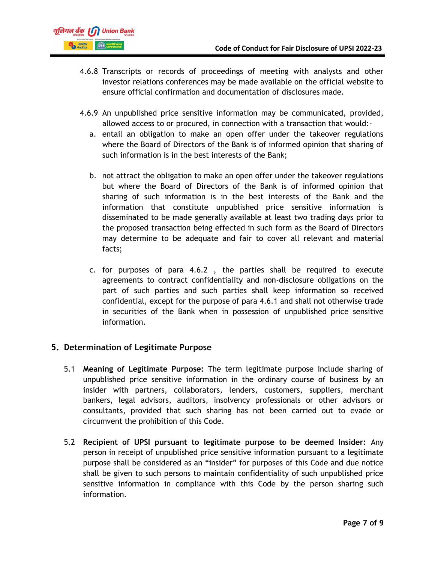

- 4.6.8 Transcripts or records of proceedings of meeting with analysts and other investor relations conferences may be made available on the official website to ensure official confirmation and documentation of disclosures made.
- 4.6.9 An unpublished price sensitive information may be communicated, provided, allowed access to or procured, in connection with a transaction that would:
	- a. entail an obligation to make an open offer under the takeover regulations where the Board of Directors of the Bank is of informed opinion that sharing of such information is in the best interests of the Bank;
	- b. not attract the obligation to make an open offer under the takeover regulations but where the Board of Directors of the Bank is of informed opinion that sharing of such information is in the best interests of the Bank and the information that constitute unpublished price sensitive information is disseminated to be made generally available at least two trading days prior to the proposed transaction being effected in such form as the Board of Directors may determine to be adequate and fair to cover all relevant and material facts;
	- c. for purposes of para 4.6.2 , the parties shall be required to execute agreements to contract confidentiality and non-disclosure obligations on the part of such parties and such parties shall keep information so received confidential, except for the purpose of para 4.6.1 and shall not otherwise trade in securities of the Bank when in possession of unpublished price sensitive information.

## **5. Determination of Legitimate Purpose**

- 5.1 **Meaning of Legitimate Purpose:** The term legitimate purpose include sharing of unpublished price sensitive information in the ordinary course of business by an insider with partners, collaborators, lenders, customers, suppliers, merchant bankers, legal advisors, auditors, insolvency professionals or other advisors or consultants, provided that such sharing has not been carried out to evade or circumvent the prohibition of this Code.
- 5.2 **Recipient of UPSI pursuant to legitimate purpose to be deemed Insider:** Any person in receipt of unpublished price sensitive information pursuant to a legitimate purpose shall be considered as an "insider" for purposes of this Code and due notice shall be given to such persons to maintain confidentiality of such unpublished price sensitive information in compliance with this Code by the person sharing such information.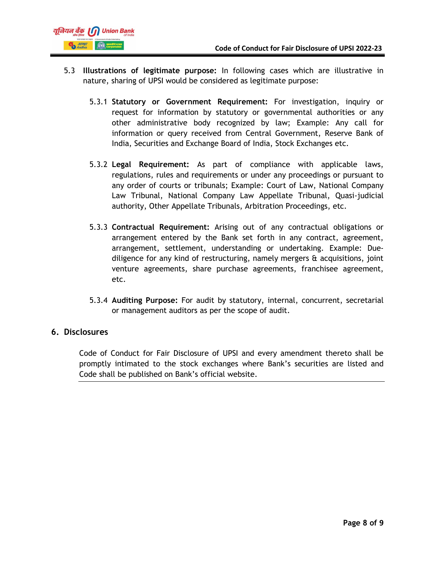

- 5.3 **Illustrations of legitimate purpose:** In following cases which are illustrative in nature, sharing of UPSI would be considered as legitimate purpose:
	- 5.3.1 **Statutory or Government Requirement:** For investigation, inquiry or request for information by statutory or governmental authorities or any other administrative body recognized by law; Example: Any call for information or query received from Central Government, Reserve Bank of India, Securities and Exchange Board of India, Stock Exchanges etc.
	- 5.3.2 **Legal Requirement:** As part of compliance with applicable laws, regulations, rules and requirements or under any proceedings or pursuant to any order of courts or tribunals; Example: Court of Law, National Company Law Tribunal, National Company Law Appellate Tribunal, Quasi-judicial authority, Other Appellate Tribunals, Arbitration Proceedings, etc.
	- 5.3.3 **Contractual Requirement:** Arising out of any contractual obligations or arrangement entered by the Bank set forth in any contract, agreement, arrangement, settlement, understanding or undertaking. Example: Duediligence for any kind of restructuring, namely mergers & acquisitions, joint venture agreements, share purchase agreements, franchisee agreement, etc.
	- 5.3.4 **Auditing Purpose:** For audit by statutory, internal, concurrent, secretarial or management auditors as per the scope of audit.

## **6. Disclosures**

Code of Conduct for Fair Disclosure of UPSI and every amendment thereto shall be promptly intimated to the stock exchanges where Bank's securities are listed and Code shall be published on Bank's official website.